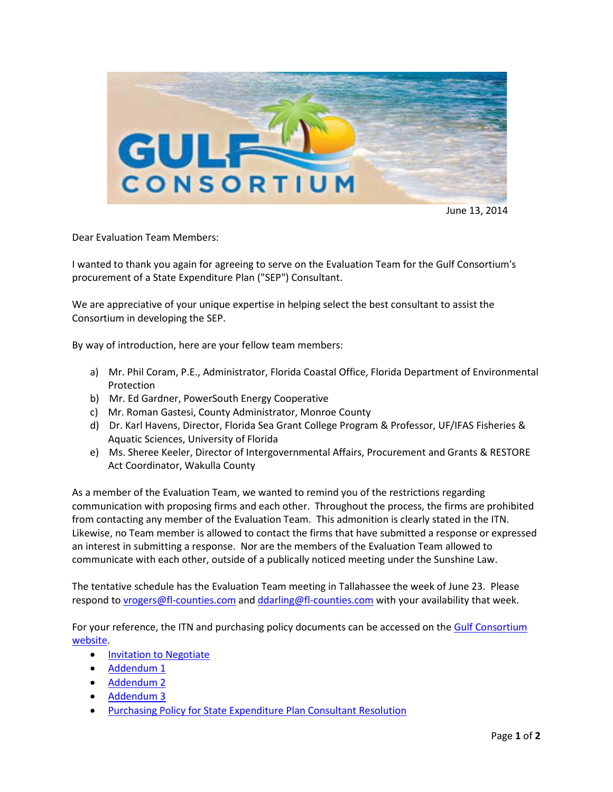

June 13, 2014

Dear Evaluation Team Members:

I wanted to thank you again for agreeing to serve on the Evaluation Team for the Gulf Consortium's procurement of a State Expenditure Plan ("SEP") Consultant.

We are appreciative of your unique expertise in helping select the best consultant to assist the Consortium in developing the SEP.

By way of introduction, here are your fellow team members:

- a) Mr. Phil Coram, P.E., Administrator, Florida Coastal Office, Florida Department of Environmental Protection
- b) Mr. Ed Gardner, PowerSouth Energy Cooperative
- c) Mr. Roman Gastesi, County Administrator, Monroe County
- d) Dr. Karl Havens, Director, Florida Sea Grant College Program & Professor, UF/IFAS Fisheries & Aquatic Sciences, University of Florida
- e) Ms. Sheree Keeler, Director of Intergovernmental Affairs, Procurement and Grants & RESTORE Act Coordinator, Wakulla County

As a member of the Evaluation Team, we wanted to remind you of the restrictions regarding communication with proposing firms and each other. Throughout the process, the firms are prohibited from contacting any member of the Evaluation Team. This admonition is clearly stated in the ITN. Likewise, no Team member is allowed to contact the firms that have submitted a response or expressed an interest in submitting a response. Nor are the members of the Evaluation Team allowed to communicate with each other, outside of a publically noticed meeting under the Sunshine Law.

The tentative schedule has the Evaluation Team meeting in Tallahassee the week of June 23. Please respond to [vrogers@fl-counties.com](mailto:vrogers@fl-counties.com) an[d ddarling@fl-counties.com](mailto:ddarling@fl-counties.com) with your availability that week.

For your reference, the ITN and purchasing policy documents can be accessed on the Gulf Consortium [website.](http://www.fl-counties.com/advocacy/gulf-consortium)

- [Invitation to Negotiate](http://www.fl-counties.com/docs/default-source/restore/@sep-consultant-itn---final.pdf?sfvrsn=2)
- [Addendum 1](http://www.fl-counties.com/docs/default-source/restore/addendum-1-14-33.pdf?sfvrsn=2)
- [Addendum 2](http://www.fl-counties.com/docs/default-source/restore/addendum-2-14-33.pdf?sfvrsn=2)
- [Addendum 3](http://www.fl-counties.com/docs/default-source/restore/addendum-3---14-33.pdf?sfvrsn=2)
- [Purchasing Policy for State Expenditure Plan Consultant Resolution](http://www.fl-counties.com/docs/default-source/restore/purchasing-policy-for-state-expenditure-plan-consultant-resolution.pdf?sfvrsn=0)